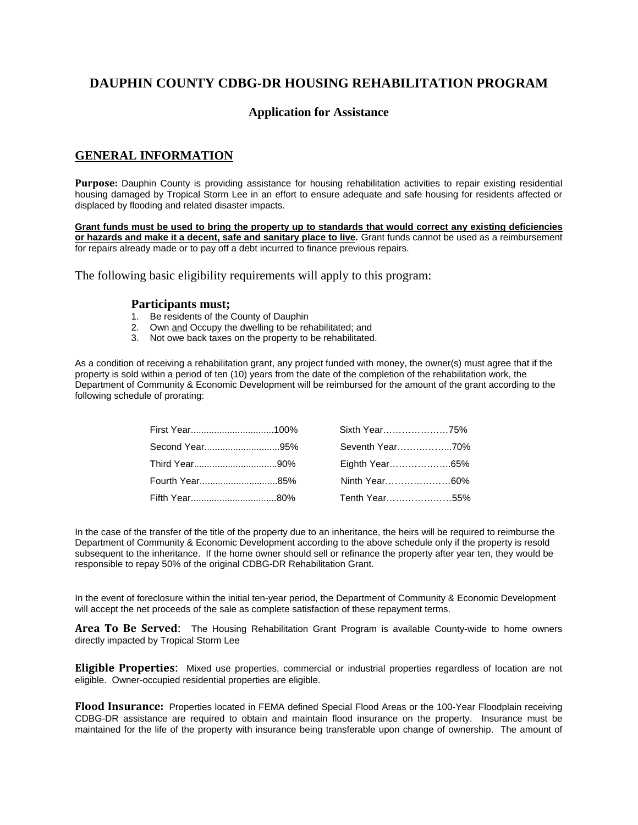# **DAUPHIN COUNTY CDBG-DR HOUSING REHABILITATION PROGRAM**

# **Application for Assistance**

# **GENERAL INFORMATION**

**Purpose:** Dauphin County is providing assistance for housing rehabilitation activities to repair existing residential housing damaged by Tropical Storm Lee in an effort to ensure adequate and safe housing for residents affected or displaced by flooding and related disaster impacts.

**Grant funds must be used to bring the property up to standards that would correct any existing deficiencies or hazards and make it a decent, safe and sanitary place to live.** Grant funds cannot be used as a reimbursement for repairs already made or to pay off a debt incurred to finance previous repairs.

The following basic eligibility requirements will apply to this program:

## **Participants must;**

- 1. Be residents of the County of Dauphin
- 2. Own and Occupy the dwelling to be rehabilitated; and
- 3. Not owe back taxes on the property to be rehabilitated.

As a condition of receiving a rehabilitation grant, any project funded with money, the owner(s) must agree that if the property is sold within a period of ten (10) years from the date of the completion of the rehabilitation work, the Department of Community & Economic Development will be reimbursed for the amount of the grant according to the following schedule of prorating:

|                | Sixth Year75%   |  |
|----------------|-----------------|--|
| Second Year95% | Seventh Year70% |  |
|                | Eighth Year65%  |  |
|                | Ninth Year60%   |  |
|                | Tenth Year55%   |  |

In the case of the transfer of the title of the property due to an inheritance, the heirs will be required to reimburse the Department of Community & Economic Development according to the above schedule only if the property is resold subsequent to the inheritance. If the home owner should sell or refinance the property after year ten, they would be responsible to repay 50% of the original CDBG-DR Rehabilitation Grant.

In the event of foreclosure within the initial ten-year period, the Department of Community & Economic Development will accept the net proceeds of the sale as complete satisfaction of these repayment terms.

**Area To Be Served**: The Housing Rehabilitation Grant Program is available County-wide to home owners directly impacted by Tropical Storm Lee

**Eligible Properties**: Mixed use properties, commercial or industrial properties regardless of location are not eligible. Owner-occupied residential properties are eligible.

**Flood Insurance:** Properties located in FEMA defined Special Flood Areas or the 100-Year Floodplain receiving CDBG-DR assistance are required to obtain and maintain flood insurance on the property. Insurance must be maintained for the life of the property with insurance being transferable upon change of ownership. The amount of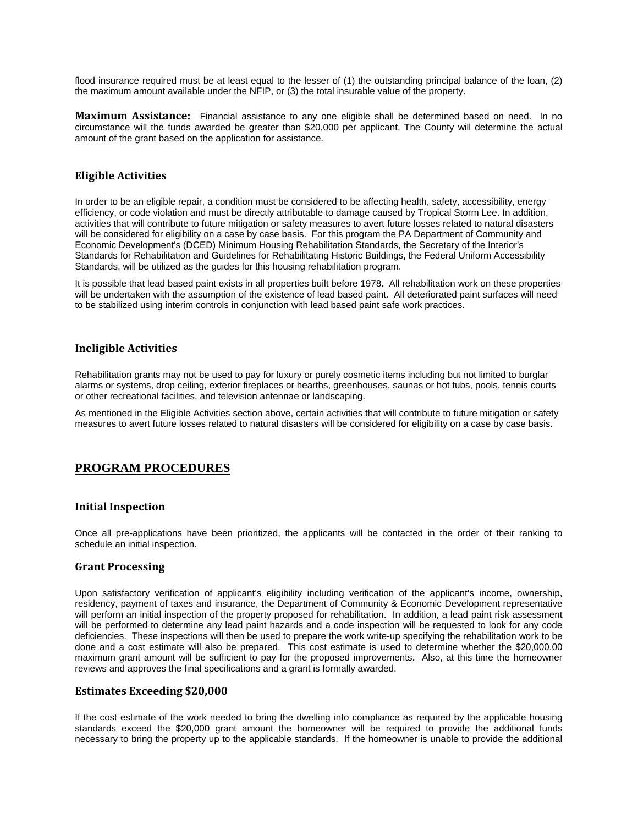flood insurance required must be at least equal to the lesser of (1) the outstanding principal balance of the loan, (2) the maximum amount available under the NFIP, or (3) the total insurable value of the property.

**Maximum Assistance:** Financial assistance to any one eligible shall be determined based on need. In no circumstance will the funds awarded be greater than \$20,000 per applicant. The County will determine the actual amount of the grant based on the application for assistance.

# **Eligible Activities**

In order to be an eligible repair, a condition must be considered to be affecting health, safety, accessibility, energy efficiency, or code violation and must be directly attributable to damage caused by Tropical Storm Lee. In addition, activities that will contribute to future mitigation or safety measures to avert future losses related to natural disasters will be considered for eligibility on a case by case basis. For this program the PA Department of Community and Economic Development's (DCED) Minimum Housing Rehabilitation Standards, the Secretary of the Interior's Standards for Rehabilitation and Guidelines for Rehabilitating Historic Buildings, the Federal Uniform Accessibility Standards, will be utilized as the guides for this housing rehabilitation program.

It is possible that lead based paint exists in all properties built before 1978. All rehabilitation work on these properties will be undertaken with the assumption of the existence of lead based paint. All deteriorated paint surfaces will need to be stabilized using interim controls in conjunction with lead based paint safe work practices.

## **Ineligible Activities**

Rehabilitation grants may not be used to pay for luxury or purely cosmetic items including but not limited to burglar alarms or systems, drop ceiling, exterior fireplaces or hearths, greenhouses, saunas or hot tubs, pools, tennis courts or other recreational facilities, and television antennae or landscaping.

As mentioned in the Eligible Activities section above, certain activities that will contribute to future mitigation or safety measures to avert future losses related to natural disasters will be considered for eligibility on a case by case basis.

# **PROGRAM PROCEDURES**

## **Initial Inspection**

Once all pre-applications have been prioritized, the applicants will be contacted in the order of their ranking to schedule an initial inspection.

#### **Grant Processing**

Upon satisfactory verification of applicant's eligibility including verification of the applicant's income, ownership, residency, payment of taxes and insurance, the Department of Community & Economic Development representative will perform an initial inspection of the property proposed for rehabilitation. In addition, a lead paint risk assessment will be performed to determine any lead paint hazards and a code inspection will be requested to look for any code deficiencies. These inspections will then be used to prepare the work write-up specifying the rehabilitation work to be done and a cost estimate will also be prepared. This cost estimate is used to determine whether the \$20,000.00 maximum grant amount will be sufficient to pay for the proposed improvements. Also, at this time the homeowner reviews and approves the final specifications and a grant is formally awarded.

#### **Estimates Exceeding \$20,000**

If the cost estimate of the work needed to bring the dwelling into compliance as required by the applicable housing standards exceed the \$20,000 grant amount the homeowner will be required to provide the additional funds necessary to bring the property up to the applicable standards. If the homeowner is unable to provide the additional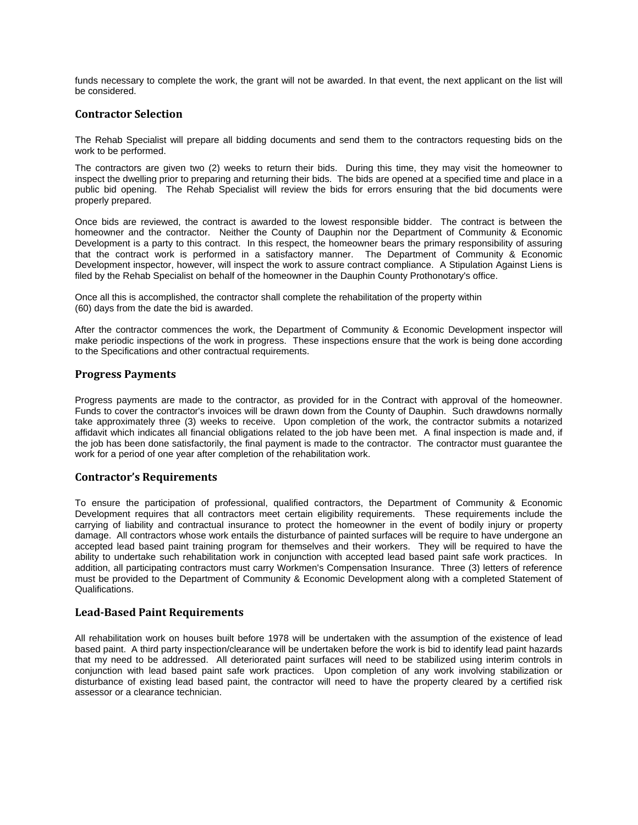funds necessary to complete the work, the grant will not be awarded. In that event, the next applicant on the list will be considered.

# **Contractor Selection**

The Rehab Specialist will prepare all bidding documents and send them to the contractors requesting bids on the work to be performed.

The contractors are given two (2) weeks to return their bids. During this time, they may visit the homeowner to inspect the dwelling prior to preparing and returning their bids. The bids are opened at a specified time and place in a public bid opening. The Rehab Specialist will review the bids for errors ensuring that the bid documents were properly prepared.

Once bids are reviewed, the contract is awarded to the lowest responsible bidder. The contract is between the homeowner and the contractor. Neither the County of Dauphin nor the Department of Community & Economic Development is a party to this contract. In this respect, the homeowner bears the primary responsibility of assuring that the contract work is performed in a satisfactory manner. The Department of Community & Economic Development inspector, however, will inspect the work to assure contract compliance. A Stipulation Against Liens is filed by the Rehab Specialist on behalf of the homeowner in the Dauphin County Prothonotary's office.

Once all this is accomplished, the contractor shall complete the rehabilitation of the property within (60) days from the date the bid is awarded.

After the contractor commences the work, the Department of Community & Economic Development inspector will make periodic inspections of the work in progress. These inspections ensure that the work is being done according to the Specifications and other contractual requirements.

## **Progress Payments**

Progress payments are made to the contractor, as provided for in the Contract with approval of the homeowner. Funds to cover the contractor's invoices will be drawn down from the County of Dauphin. Such drawdowns normally take approximately three (3) weeks to receive. Upon completion of the work, the contractor submits a notarized affidavit which indicates all financial obligations related to the job have been met. A final inspection is made and, if the job has been done satisfactorily, the final payment is made to the contractor. The contractor must guarantee the work for a period of one year after completion of the rehabilitation work.

## **Contractor's Requirements**

To ensure the participation of professional, qualified contractors, the Department of Community & Economic Development requires that all contractors meet certain eligibility requirements. These requirements include the carrying of liability and contractual insurance to protect the homeowner in the event of bodily injury or property damage. All contractors whose work entails the disturbance of painted surfaces will be require to have undergone an accepted lead based paint training program for themselves and their workers. They will be required to have the ability to undertake such rehabilitation work in conjunction with accepted lead based paint safe work practices. In addition, all participating contractors must carry Workmen's Compensation Insurance. Three (3) letters of reference must be provided to the Department of Community & Economic Development along with a completed Statement of Qualifications.

## **Lead‐Based Paint Requirements**

All rehabilitation work on houses built before 1978 will be undertaken with the assumption of the existence of lead based paint. A third party inspection/clearance will be undertaken before the work is bid to identify lead paint hazards that my need to be addressed. All deteriorated paint surfaces will need to be stabilized using interim controls in conjunction with lead based paint safe work practices. Upon completion of any work involving stabilization or disturbance of existing lead based paint, the contractor will need to have the property cleared by a certified risk assessor or a clearance technician.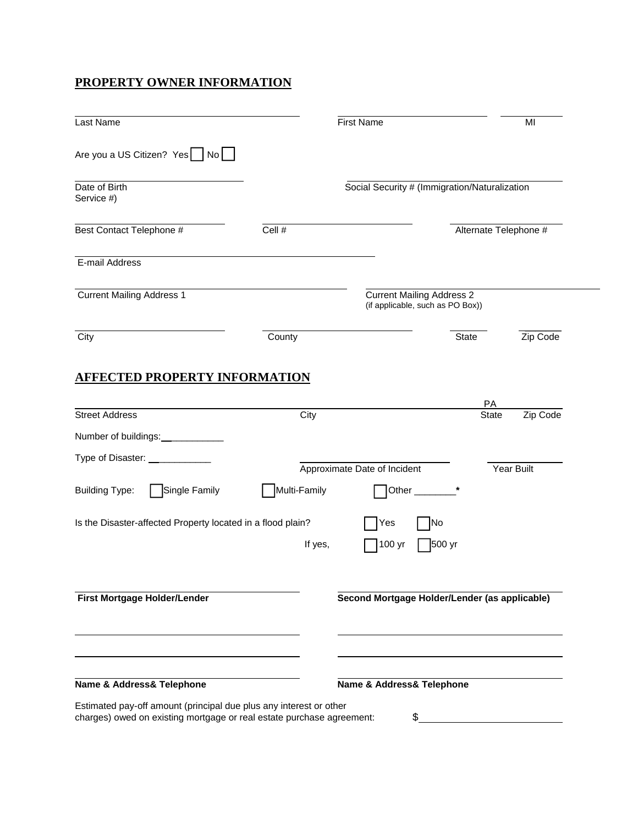# **PROPERTY OWNER INFORMATION**

| Last Name                                                                                                              |              | <b>First Name</b>                                                    |                       | MI         |
|------------------------------------------------------------------------------------------------------------------------|--------------|----------------------------------------------------------------------|-----------------------|------------|
| Are you a US Citizen? Yes   No                                                                                         |              |                                                                      |                       |            |
| Date of Birth<br>Service #)                                                                                            |              | Social Security # (Immigration/Naturalization                        |                       |            |
| Best Contact Telephone #                                                                                               | Cell #       |                                                                      | Alternate Telephone # |            |
| E-mail Address                                                                                                         |              |                                                                      |                       |            |
| <b>Current Mailing Address 1</b>                                                                                       |              | <b>Current Mailing Address 2</b><br>(if applicable, such as PO Box)) |                       |            |
| City                                                                                                                   | County       |                                                                      | <b>State</b>          | Zip Code   |
| <b>Street Address</b><br>Number of buildings:<br><u>[</u> [11] Number of buildings:<br>Type of Disaster: _____________ | City         |                                                                      | РA<br><b>State</b>    | Zip Code   |
| Single Family<br><b>Building Type:</b>                                                                                 | Multi-Family | Approximate Date of Incident<br>Other $\_$                           |                       | Year Built |
| Is the Disaster-affected Property located in a flood plain?                                                            | If yes,      | No<br>Yes<br>500 yr<br>100 yr                                        |                       |            |
| First Mortgage Holder/Lender                                                                                           |              | Second Mortgage Holder/Lender (as applicable)                        |                       |            |
|                                                                                                                        |              |                                                                      |                       |            |
| Name & Address& Telephone                                                                                              |              | Name & Address& Telephone                                            |                       |            |

charges) owed on existing mortgage or real estate purchase agreement: \$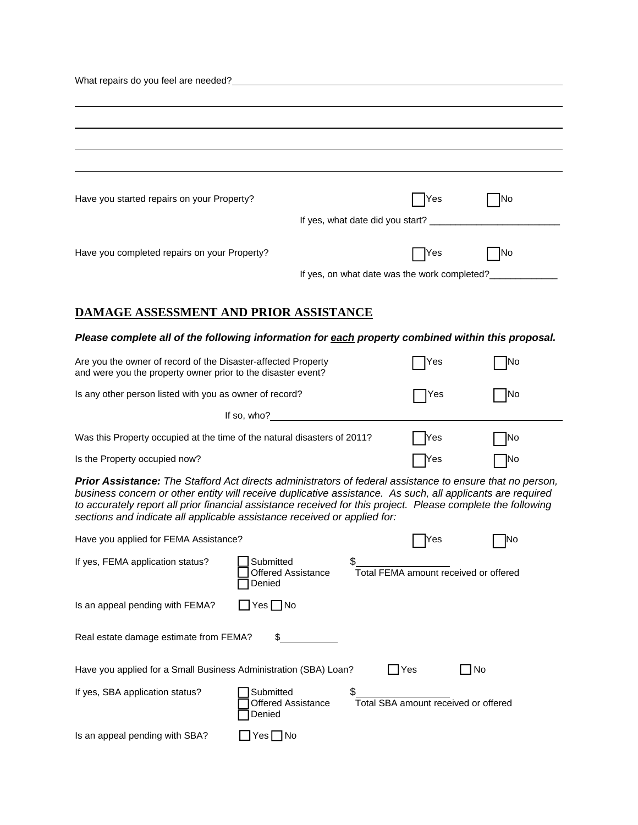| Have you started repairs on your Property?                                                                                                                                                                                                                                                                                                                                                                          |                                           |            | <b>Yes</b>                            | <b>INo</b>                                   |  |  |
|---------------------------------------------------------------------------------------------------------------------------------------------------------------------------------------------------------------------------------------------------------------------------------------------------------------------------------------------------------------------------------------------------------------------|-------------------------------------------|------------|---------------------------------------|----------------------------------------------|--|--|
|                                                                                                                                                                                                                                                                                                                                                                                                                     |                                           |            |                                       |                                              |  |  |
| Have you completed repairs on your Property?                                                                                                                                                                                                                                                                                                                                                                        |                                           |            | Yes                                   | <b>INo</b>                                   |  |  |
|                                                                                                                                                                                                                                                                                                                                                                                                                     |                                           |            |                                       | If yes, on what date was the work completed? |  |  |
| <b>DAMAGE ASSESSMENT AND PRIOR ASSISTANCE</b>                                                                                                                                                                                                                                                                                                                                                                       |                                           |            |                                       |                                              |  |  |
| Please complete all of the following information for each property combined within this proposal.                                                                                                                                                                                                                                                                                                                   |                                           |            |                                       |                                              |  |  |
|                                                                                                                                                                                                                                                                                                                                                                                                                     |                                           |            |                                       |                                              |  |  |
| Are you the owner of record of the Disaster-affected Property<br>and were you the property owner prior to the disaster event?                                                                                                                                                                                                                                                                                       |                                           |            | Yes                                   | INo                                          |  |  |
| Is any other person listed with you as owner of record?<br> No<br>Yes                                                                                                                                                                                                                                                                                                                                               |                                           |            |                                       |                                              |  |  |
|                                                                                                                                                                                                                                                                                                                                                                                                                     | If so, who?                               |            |                                       |                                              |  |  |
| Was this Property occupied at the time of the natural disasters of 2011?                                                                                                                                                                                                                                                                                                                                            |                                           |            | Yes                                   | No                                           |  |  |
| Is the Property occupied now?                                                                                                                                                                                                                                                                                                                                                                                       |                                           |            | $\gamma$ es                           | No                                           |  |  |
| Prior Assistance: The Stafford Act directs administrators of federal assistance to ensure that no person,<br>business concern or other entity will receive duplicative assistance. As such, all applicants are required<br>to accurately report all prior financial assistance received for this project. Please complete the following<br>sections and indicate all applicable assistance received or applied for: |                                           |            |                                       |                                              |  |  |
| Have you applied for FEMA Assistance?                                                                                                                                                                                                                                                                                                                                                                               |                                           |            | Yes                                   | No                                           |  |  |
| If yes, FEMA application status?                                                                                                                                                                                                                                                                                                                                                                                    | Submitted<br>Offered Assistance<br>Denied |            | Total FEMA amount received or offered |                                              |  |  |
| Is an appeal pending with FEMA?                                                                                                                                                                                                                                                                                                                                                                                     | $Yes \Box No$                             |            |                                       |                                              |  |  |
| Real estate damage estimate from FEMA?                                                                                                                                                                                                                                                                                                                                                                              | \$                                        |            |                                       |                                              |  |  |
| Have you applied for a Small Business Administration (SBA) Loan?                                                                                                                                                                                                                                                                                                                                                    |                                           | $\Box$ Yes |                                       | $\Box$ No                                    |  |  |
| If yes, SBA application status?                                                                                                                                                                                                                                                                                                                                                                                     | Submitted<br>Offered Assistance<br>Denied | \$         | Total SBA amount received or offered  |                                              |  |  |
| Is an appeal pending with SBA?                                                                                                                                                                                                                                                                                                                                                                                      | $Yes \Box No$                             |            |                                       |                                              |  |  |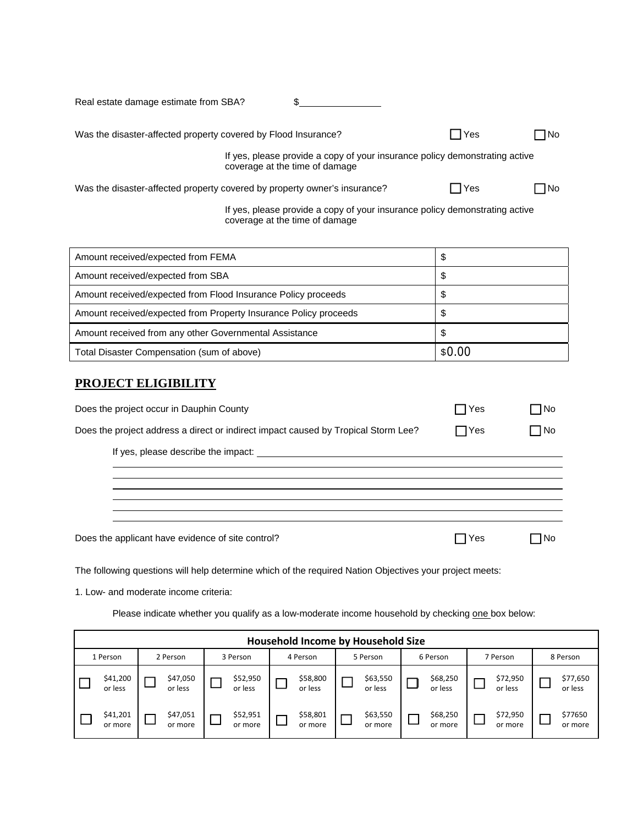| Real estate damage estimate from SBA?                                     |                                |                                                                             |             |             |
|---------------------------------------------------------------------------|--------------------------------|-----------------------------------------------------------------------------|-------------|-------------|
| Was the disaster-affected property covered by Flood Insurance?            |                                |                                                                             | <b>IYes</b> | □No         |
|                                                                           | coverage at the time of damage | If yes, please provide a copy of your insurance policy demonstrating active |             |             |
| Was the disaster-affected property covered by property owner's insurance? |                                |                                                                             | – I Yes     | <b>No</b> ⊓ |
|                                                                           | coverage at the time of damage | If yes, please provide a copy of your insurance policy demonstrating active |             |             |

| Amount received/expected from FEMA                               | \$     |
|------------------------------------------------------------------|--------|
| Amount received/expected from SBA                                | Φ      |
| Amount received/expected from Flood Insurance Policy proceeds    | Φ      |
| Amount received/expected from Property Insurance Policy proceeds | Φ      |
| Amount received from any other Governmental Assistance           | \$     |
| Total Disaster Compensation (sum of above)                       | \$0.00 |

# **PROJECT ELIGIBILITY**

| Does the project occur in Dauphin County                                           | ∃Yes         | $\sqcap$ No |  |
|------------------------------------------------------------------------------------|--------------|-------------|--|
| Does the project address a direct or indirect impact caused by Tropical Storm Lee? | $\sqcap$ Yes | ∩No         |  |
|                                                                                    |              |             |  |
|                                                                                    |              |             |  |
|                                                                                    |              |             |  |
| Does the applicant have evidence of site control?                                  | l Yes        | l No        |  |

The following questions will help determine which of the required Nation Objectives your project meets:

1. Low- and moderate income criteria:

Please indicate whether you qualify as a low-moderate income household by checking one box below:

|          | Household Income by Household Size |          |                     |  |                     |  |                     |  |                     |  |                     |                     |                     |          |          |
|----------|------------------------------------|----------|---------------------|--|---------------------|--|---------------------|--|---------------------|--|---------------------|---------------------|---------------------|----------|----------|
| 1 Person |                                    | 2 Person |                     |  |                     |  | 3 Person            |  | 4 Person            |  | 5 Person            |                     | 6 Person            | 7 Person | 8 Person |
|          | \$41,200<br>or less                |          | \$47,050<br>or less |  | \$52,950<br>or less |  | \$58,800<br>or less |  | \$63,550<br>or less |  | \$68,250<br>or less | \$72,950<br>or less | \$77,650<br>or less |          |          |
|          | \$41,201<br>or more                |          | \$47,051<br>or more |  | \$52,951<br>or more |  | \$58,801<br>or more |  | \$63,550<br>or more |  | \$68,250<br>or more | \$72,950<br>or more | \$77650<br>or more  |          |          |